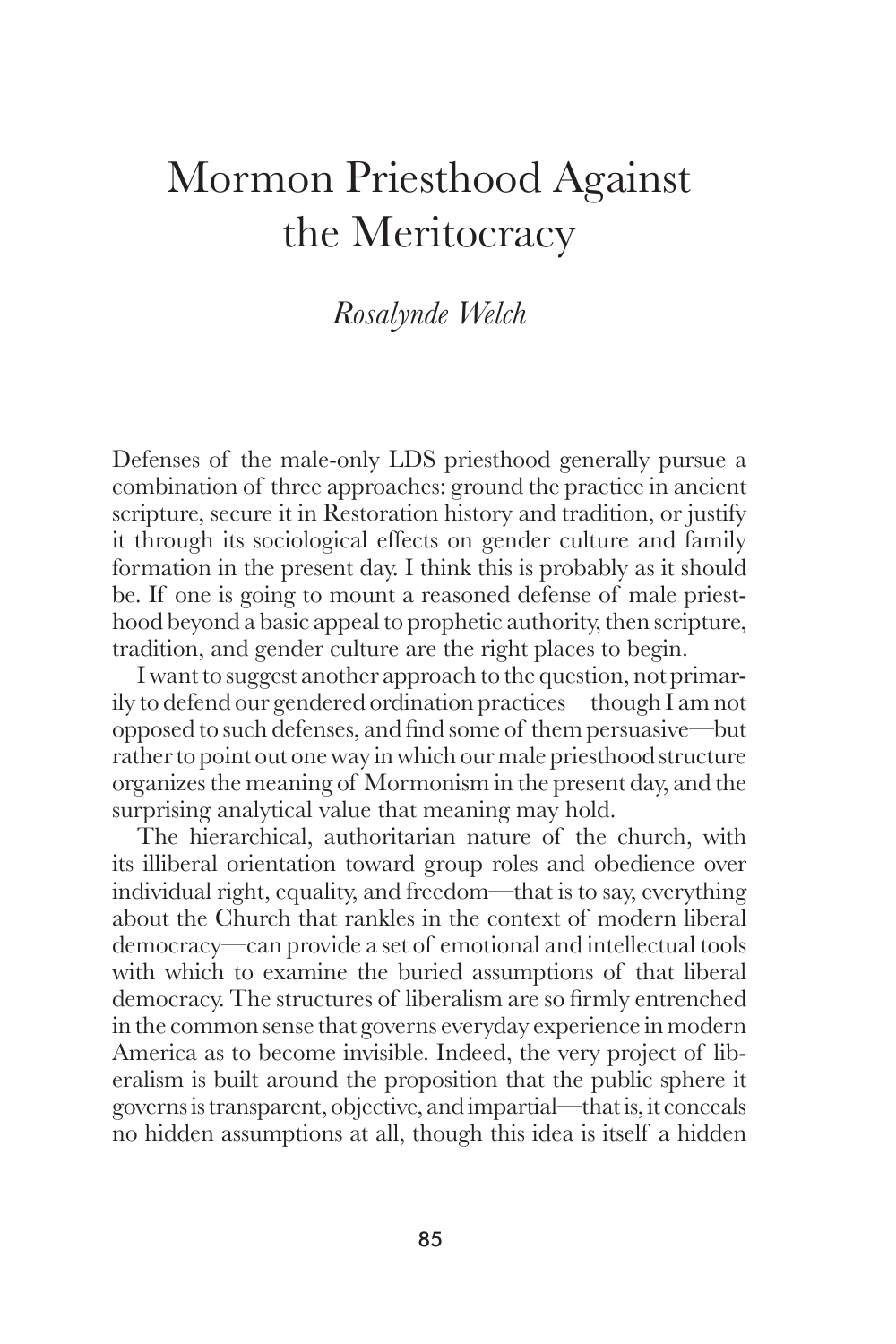## Mormon Priesthood Against the Meritocracy

## *Rosalynde Welch*

Defenses of the male-only LDS priesthood generally pursue a combination of three approaches: ground the practice in ancient scripture, secure it in Restoration history and tradition, or justify it through its sociological effects on gender culture and family formation in the present day. I think this is probably as it should be. If one is going to mount a reasoned defense of male priesthood beyond a basic appeal to prophetic authority, then scripture, tradition, and gender culture are the right places to begin.

 I want to suggest another approach to the question, not primarily to defend our gendered ordination practices—though I am not opposed to such defenses, and find some of them persuasive—but rather to point out one way in which our male priesthood structure organizes the meaning of Mormonism in the present day, and the surprising analytical value that meaning may hold.

 The hierarchical, authoritarian nature of the church, with its illiberal orientation toward group roles and obedience over individual right, equality, and freedom—that is to say, everything about the Church that rankles in the context of modern liberal democracy—can provide a set of emotional and intellectual tools with which to examine the buried assumptions of that liberal democracy. The structures of liberalism are so firmly entrenched in the common sense that governs everyday experience in modern America as to become invisible. Indeed, the very project of liberalism is built around the proposition that the public sphere it governs is transparent, objective, and impartial—that is, it conceals no hidden assumptions at all, though this idea is itself a hidden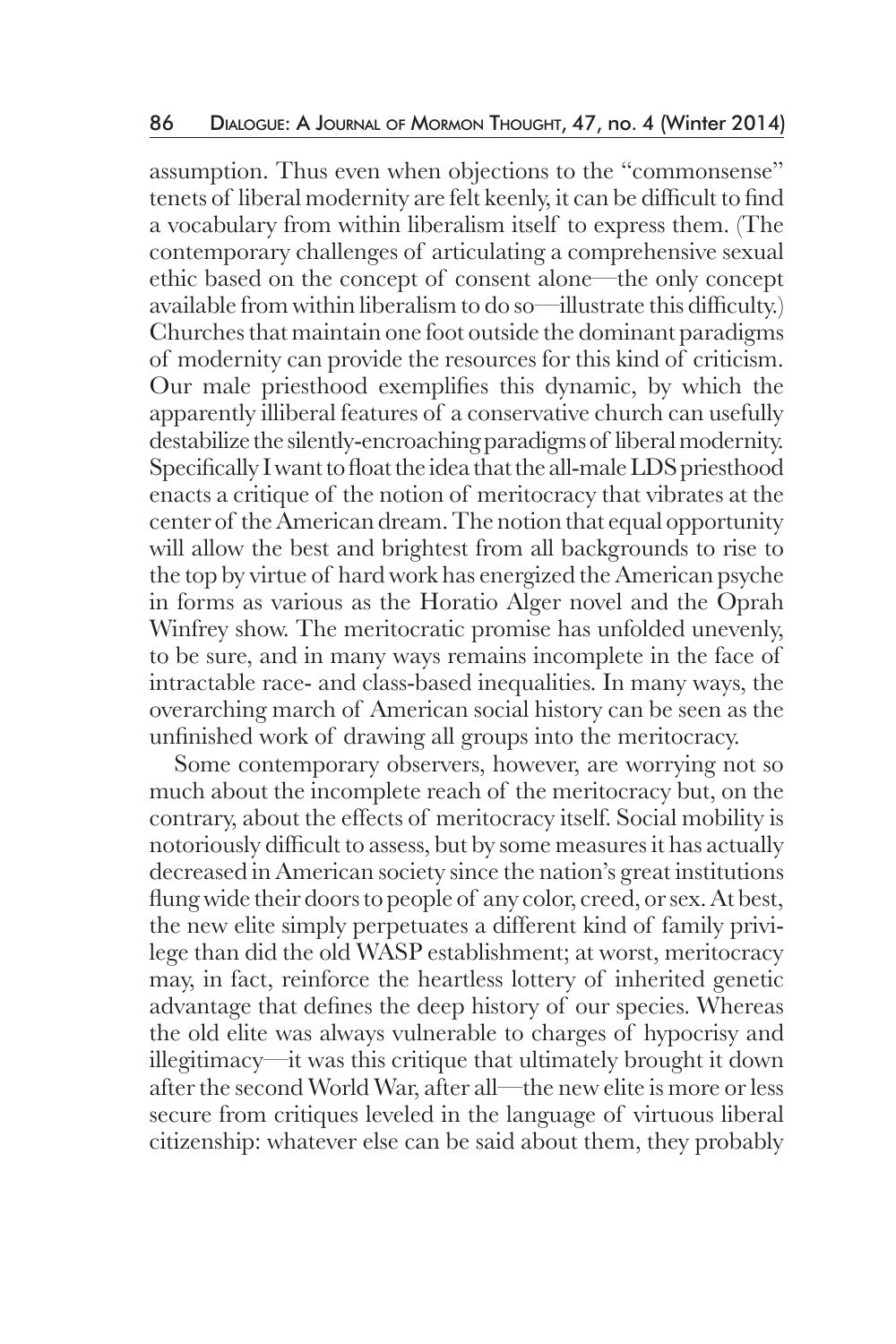assumption. Thus even when objections to the "commonsense" tenets of liberal modernity are felt keenly, it can be difficult to find a vocabulary from within liberalism itself to express them. (The contemporary challenges of articulating a comprehensive sexual ethic based on the concept of consent alone—the only concept available from within liberalism to do so—illustrate this difficulty.) Churches that maintain one foot outside the dominant paradigms of modernity can provide the resources for this kind of criticism. Our male priesthood exemplifies this dynamic, by which the apparently illiberal features of a conservative church can usefully destabilize the silently-encroaching paradigms of liberal modernity. Specifically I want to float the idea that the all-male LDS priesthood enacts a critique of the notion of meritocracy that vibrates at the center of the American dream. The notion that equal opportunity will allow the best and brightest from all backgrounds to rise to the top by virtue of hard work has energized the American psyche in forms as various as the Horatio Alger novel and the Oprah Winfrey show. The meritocratic promise has unfolded unevenly, to be sure, and in many ways remains incomplete in the face of intractable race- and class-based inequalities. In many ways, the overarching march of American social history can be seen as the unfinished work of drawing all groups into the meritocracy.

 Some contemporary observers, however, are worrying not so much about the incomplete reach of the meritocracy but, on the contrary, about the effects of meritocracy itself. Social mobility is notoriously difficult to assess, but by some measures it has actually decreased in American society since the nation's great institutions flung wide their doors to people of any color, creed, or sex. At best, the new elite simply perpetuates a different kind of family privilege than did the old WASP establishment; at worst, meritocracy may, in fact, reinforce the heartless lottery of inherited genetic advantage that defines the deep history of our species. Whereas the old elite was always vulnerable to charges of hypocrisy and illegitimacy—it was this critique that ultimately brought it down after the second World War, after all—the new elite is more or less secure from critiques leveled in the language of virtuous liberal citizenship: whatever else can be said about them, they probably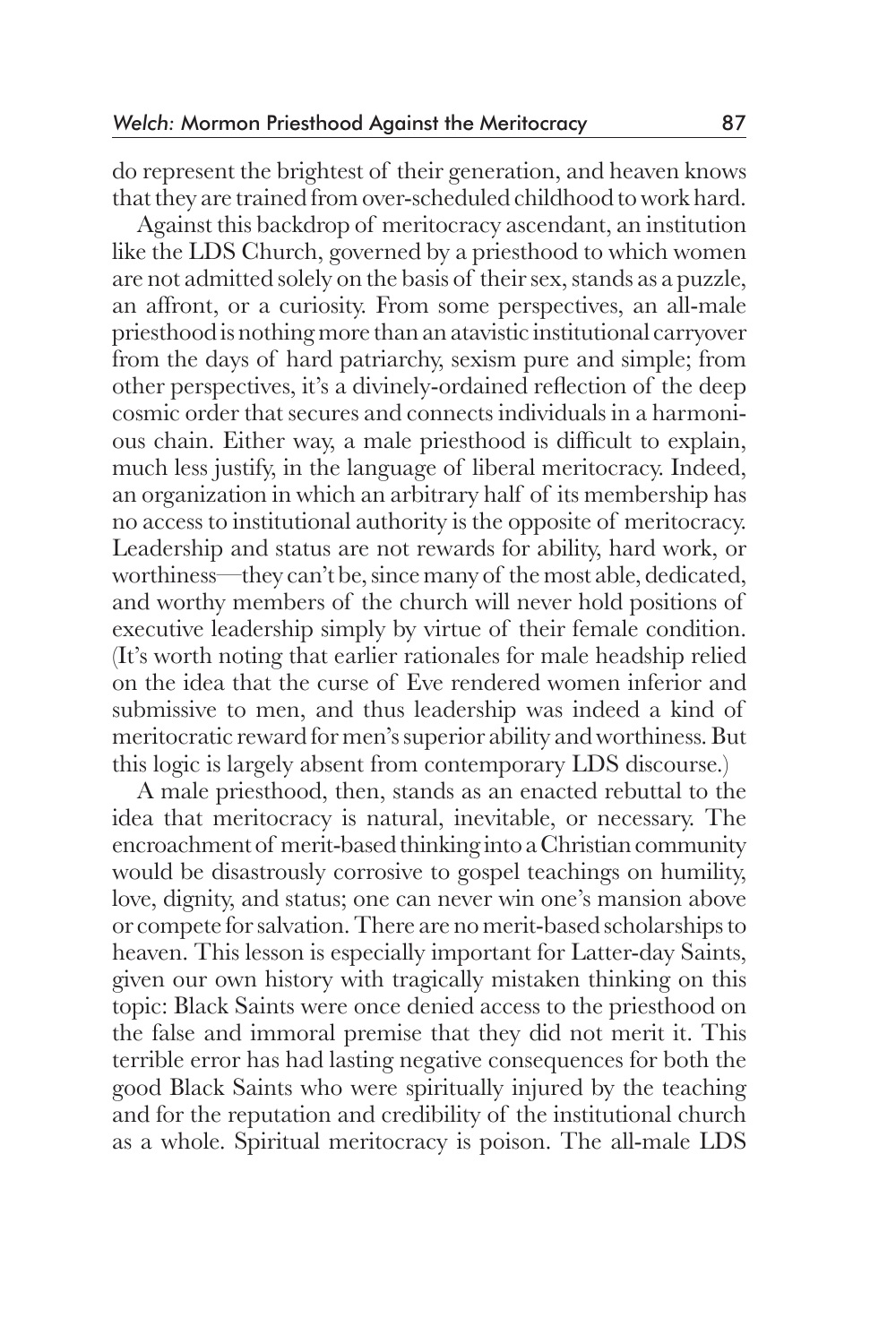do represent the brightest of their generation, and heaven knows that they are trained from over-scheduled childhood to work hard.

 Against this backdrop of meritocracy ascendant, an institution like the LDS Church, governed by a priesthood to which women are not admitted solely on the basis of their sex, stands as a puzzle, an affront, or a curiosity. From some perspectives, an all-male priesthood is nothing more than an atavistic institutional carryover from the days of hard patriarchy, sexism pure and simple; from other perspectives, it's a divinely-ordained reflection of the deep cosmic order that secures and connects individuals in a harmonious chain. Either way, a male priesthood is difficult to explain, much less justify, in the language of liberal meritocracy. Indeed, an organization in which an arbitrary half of its membership has no access to institutional authority is the opposite of meritocracy. Leadership and status are not rewards for ability, hard work, or worthiness—they can't be, since many of the most able, dedicated, and worthy members of the church will never hold positions of executive leadership simply by virtue of their female condition. (It's worth noting that earlier rationales for male headship relied on the idea that the curse of Eve rendered women inferior and submissive to men, and thus leadership was indeed a kind of meritocratic reward for men's superior ability and worthiness. But this logic is largely absent from contemporary LDS discourse.)

 A male priesthood, then, stands as an enacted rebuttal to the idea that meritocracy is natural, inevitable, or necessary. The encroachment of merit-based thinking into a Christian community would be disastrously corrosive to gospel teachings on humility, love, dignity, and status; one can never win one's mansion above or compete for salvation. There are no merit-based scholarships to heaven. This lesson is especially important for Latter-day Saints, given our own history with tragically mistaken thinking on this topic: Black Saints were once denied access to the priesthood on the false and immoral premise that they did not merit it. This terrible error has had lasting negative consequences for both the good Black Saints who were spiritually injured by the teaching and for the reputation and credibility of the institutional church as a whole. Spiritual meritocracy is poison. The all-male LDS